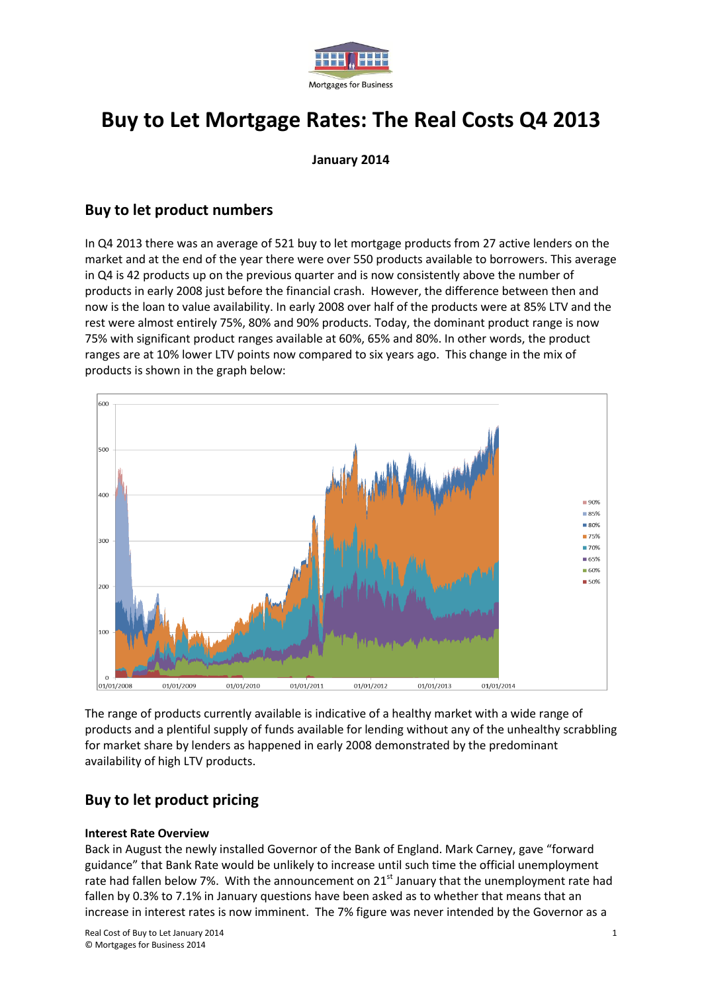

# **Buy to Let Mortgage Rates: The Real Costs Q4 2013**

**January 2014**

### **Buy to let product numbers**

In Q4 2013 there was an average of 521 buy to let mortgage products from 27 active lenders on the market and at the end of the year there were over 550 products available to borrowers. This average in Q4 is 42 products up on the previous quarter and is now consistently above the number of products in early 2008 just before the financial crash. However, the difference between then and now is the loan to value availability. In early 2008 over half of the products were at 85% LTV and the rest were almost entirely 75%, 80% and 90% products. Today, the dominant product range is now 75% with significant product ranges available at 60%, 65% and 80%. In other words, the product ranges are at 10% lower LTV points now compared to six years ago. This change in the mix of products is shown in the graph below:



The range of products currently available is indicative of a healthy market with a wide range of products and a plentiful supply of funds available for lending without any of the unhealthy scrabbling for market share by lenders as happened in early 2008 demonstrated by the predominant availability of high LTV products.

## **Buy to let product pricing**

#### **Interest Rate Overview**

Back in August the newly installed Governor of the Bank of England. Mark Carney, gave "forward guidance" that Bank Rate would be unlikely to increase until such time the official unemployment rate had fallen below 7%. With the announcement on  $21<sup>st</sup>$  January that the unemployment rate had fallen by 0.3% to 7.1% in January questions have been asked as to whether that means that an increase in interest rates is now imminent. The 7% figure was never intended by the Governor as a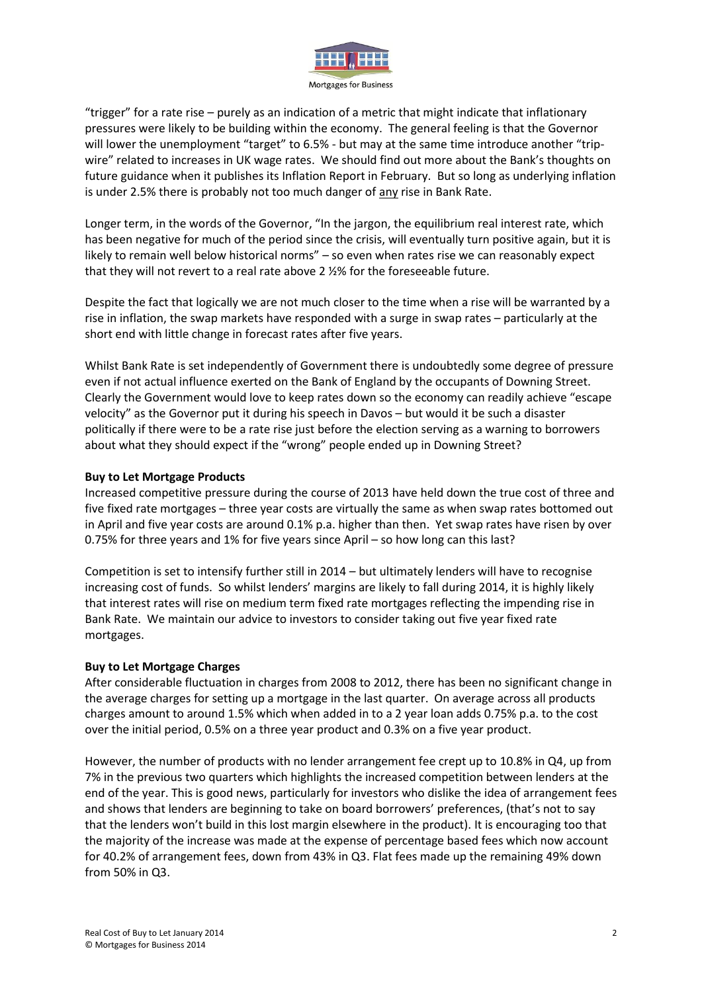

"trigger" for a rate rise – purely as an indication of a metric that might indicate that inflationary pressures were likely to be building within the economy. The general feeling is that the Governor will lower the unemployment "target" to 6.5% - but may at the same time introduce another "tripwire" related to increases in UK wage rates. We should find out more about the Bank's thoughts on future guidance when it publishes its Inflation Report in February. But so long as underlying inflation is under 2.5% there is probably not too much danger of any rise in Bank Rate.

Longer term, in the words of the Governor, "In the jargon, the equilibrium real interest rate, which has been negative for much of the period since the crisis, will eventually turn positive again, but it is likely to remain well below historical norms" – so even when rates rise we can reasonably expect that they will not revert to a real rate above 2 ½% for the foreseeable future.

Despite the fact that logically we are not much closer to the time when a rise will be warranted by a rise in inflation, the swap markets have responded with a surge in swap rates – particularly at the short end with little change in forecast rates after five years.

Whilst Bank Rate is set independently of Government there is undoubtedly some degree of pressure even if not actual influence exerted on the Bank of England by the occupants of Downing Street. Clearly the Government would love to keep rates down so the economy can readily achieve "escape velocity" as the Governor put it during his speech in Davos – but would it be such a disaster politically if there were to be a rate rise just before the election serving as a warning to borrowers about what they should expect if the "wrong" people ended up in Downing Street?

#### **Buy to Let Mortgage Products**

Increased competitive pressure during the course of 2013 have held down the true cost of three and five fixed rate mortgages – three year costs are virtually the same as when swap rates bottomed out in April and five year costs are around 0.1% p.a. higher than then. Yet swap rates have risen by over 0.75% for three years and 1% for five years since April – so how long can this last?

Competition is set to intensify further still in 2014 – but ultimately lenders will have to recognise increasing cost of funds. So whilst lenders' margins are likely to fall during 2014, it is highly likely that interest rates will rise on medium term fixed rate mortgages reflecting the impending rise in Bank Rate. We maintain our advice to investors to consider taking out five year fixed rate mortgages.

#### **Buy to Let Mortgage Charges**

After considerable fluctuation in charges from 2008 to 2012, there has been no significant change in the average charges for setting up a mortgage in the last quarter. On average across all products charges amount to around 1.5% which when added in to a 2 year loan adds 0.75% p.a. to the cost over the initial period, 0.5% on a three year product and 0.3% on a five year product.

However, the number of products with no lender arrangement fee crept up to 10.8% in Q4, up from 7% in the previous two quarters which highlights the increased competition between lenders at the end of the year. This is good news, particularly for investors who dislike the idea of arrangement fees and shows that lenders are beginning to take on board borrowers' preferences, (that's not to say that the lenders won't build in this lost margin elsewhere in the product). It is encouraging too that the majority of the increase was made at the expense of percentage based fees which now account for 40.2% of arrangement fees, down from 43% in Q3. Flat fees made up the remaining 49% down from 50% in Q3.